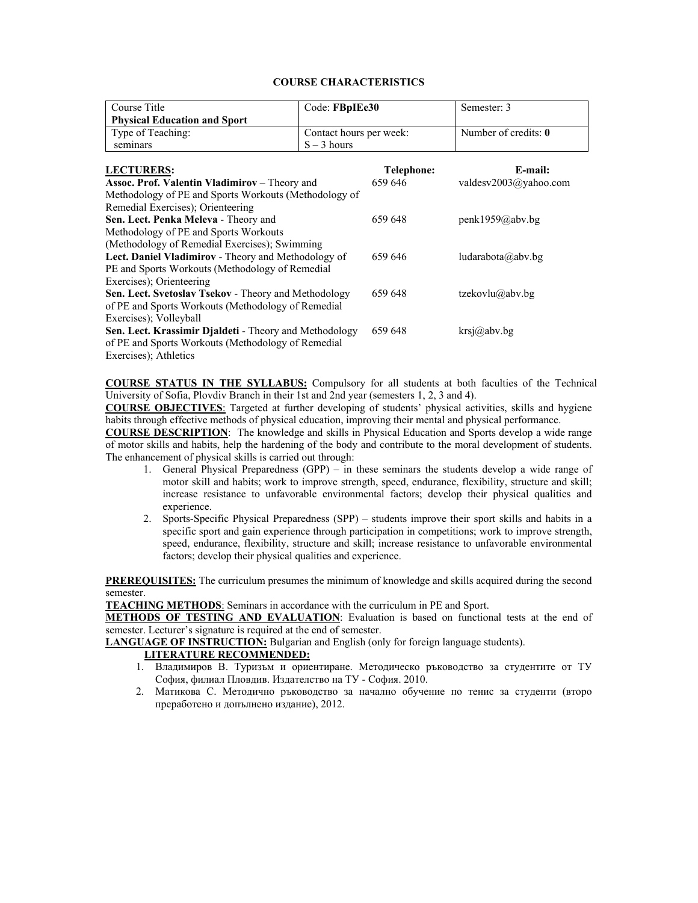#### **COURSE CHARACTERISTICS**

| Course Title                                                  | Code: FBpIEe30          |            | Semester: 3                    |
|---------------------------------------------------------------|-------------------------|------------|--------------------------------|
| <b>Physical Education and Sport</b>                           |                         |            |                                |
| Type of Teaching:                                             | Contact hours per week: |            | Number of credits: $\mathbf 0$ |
| seminars                                                      | $S - 3$ hours           |            |                                |
|                                                               |                         |            |                                |
| <b>LECTURERS:</b>                                             |                         | Telephone: | E-mail:                        |
| <b>Assoc. Prof. Valentin Vladimirov</b> – Theory and          |                         | 659 646    | valdesv2003@yahoo.com          |
| Methodology of PE and Sports Workouts (Methodology of         |                         |            |                                |
| Remedial Exercises); Orienteering                             |                         |            |                                |
| Sen. Lect. Penka Meleva - Theory and                          |                         | 659 648    | penk1959@abv.bg                |
| Methodology of PE and Sports Workouts                         |                         |            |                                |
| (Methodology of Remedial Exercises); Swimming                 |                         |            |                                |
| <b>Lect. Daniel Vladimirov - Theory and Methodology of</b>    |                         | 659 646    | ludarabota@abv.bg              |
| PE and Sports Workouts (Methodology of Remedial               |                         |            |                                |
| Exercises); Orienteering                                      |                         |            |                                |
| Sen. Lect. Svetoslav Tsekov - Theory and Methodology          |                         | 659 648    | tzekovlu@abv.bg                |
| of PE and Sports Workouts (Methodology of Remedial            |                         |            |                                |
| Exercises); Volleyball                                        |                         |            |                                |
| <b>Sen. Lect. Krassimir Djaldeti</b> - Theory and Methodology |                         | 659 648    | krsj@abv.bg                    |
| of PE and Sports Workouts (Methodology of Remedial            |                         |            |                                |
| Exercises); Athletics                                         |                         |            |                                |

**COURSE STATUS IN THE SYLLABUS:** Compulsory for all students at both faculties of the Technical University of Sofia, Plovdiv Branch in their 1st and 2nd year (semesters 1, 2, 3 and 4).

**COURSE OBJECTIVES**: Targeted at further developing of students' physical activities, skills and hygiene habits through effective methods of physical education, improving their mental and physical performance.

**COURSE DESCRIPTION**: The knowledge and skills in Physical Education and Sports develop a wide range of motor skills and habits, help the hardening of the body and contribute to the moral development of students. The enhancement of physical skills is carried out through:

- 1. General Physical Preparedness (GPP) in these seminars the students develop a wide range of motor skill and habits; work to improve strength, speed, endurance, flexibility, structure and skill; increase resistance to unfavorable environmental factors; develop their physical qualities and experience.
- 2. Sports-Specific Physical Preparedness (SPP) students improve their sport skills and habits in a specific sport and gain experience through participation in competitions; work to improve strength, speed, endurance, flexibility, structure and skill; increase resistance to unfavorable environmental factors; develop their physical qualities and experience.

**PREREQUISITES:** The curriculum presumes the minimum of knowledge and skills acquired during the second semester.

**TEACHING METHODS**: Seminars in accordance with the curriculum in PE and Sport.

**METHODS OF TESTING AND EVALUATION**: Evaluation is based on functional tests at the end of semester. Lecturer's signature is required at the end of semester.

**LANGUAGE OF INSTRUCTION:** Bulgarian and English (only for foreign language students).

#### **LITERATURE RECOMMENDED:**

- 1. Владимиров В. Туризъм и ориентиране. Методическо ръководство за студентите от ТУ София, филиал Пловдив. Издателство на ТУ - София. 2010.
- 2. Матикова С. Методично ръководство за начално обучение по тенис за студенти (второ преработено и допълнено издание), 2012.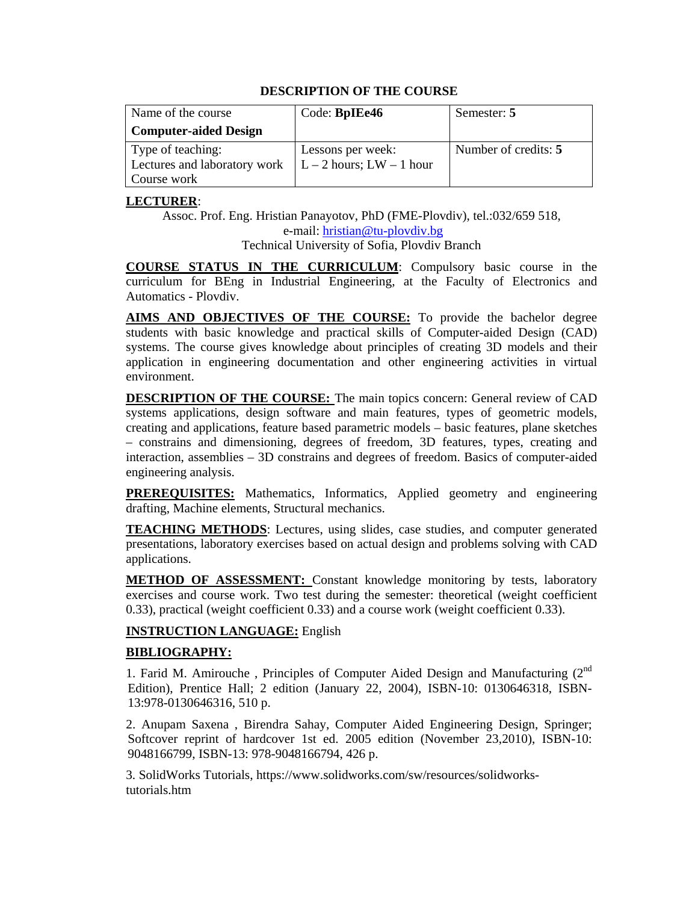| Name of the course           | Code: BpIEe46                | Semester: 5          |
|------------------------------|------------------------------|----------------------|
| <b>Computer-aided Design</b> |                              |                      |
| Type of teaching:            | Lessons per week:            | Number of credits: 5 |
| Lectures and laboratory work | $L - 2$ hours; LW $- 1$ hour |                      |
| Course work                  |                              |                      |

### **LECTURER**:

Assoc. Prof. Eng. Hristian Panayotov, PhD (FME-Plovdiv), tel.:032/659 518, e-mail: hristian@tu-plovdiv.bg Technical University of Sofia, Plovdiv Branch

**COURSE STATUS IN THE CURRICULUM**: Compulsory basic course in the curriculum for BEng in Industrial Engineering, at the Faculty of Electronics and Automatics - Plovdiv.

**AIMS AND OBJECTIVES OF THE COURSE:** To provide the bachelor degree students with basic knowledge and practical skills of Computer-aided Design (CAD) systems. The course gives knowledge about principles of creating 3D models and their application in engineering documentation and other engineering activities in virtual environment.

**DESCRIPTION OF THE COURSE:** The main topics concern: General review of CAD systems applications, design software and main features, types of geometric models, creating and applications, feature based parametric models – basic features, plane sketches – constrains and dimensioning, degrees of freedom, 3D features, types, creating and interaction, assemblies – 3D constrains and degrees of freedom. Basics of computer-aided engineering analysis.

**PREREQUISITES:** Mathematics, Informatics, Applied geometry and engineering drafting, Machine elements, Structural mechanics.

**TEACHING METHODS**: Lectures, using slides, case studies, and computer generated presentations, laboratory exercises based on actual design and problems solving with CAD applications.

**METHOD OF ASSESSMENT:** Constant knowledge monitoring by tests, laboratory exercises and course work. Two test during the semester: theoretical (weight coefficient 0.33), practical (weight coefficient 0.33) and a course work (weight coefficient 0.33).

### **INSTRUCTION LANGUAGE:** English

### **BIBLIOGRAPHY:**

1. Farid M. Amirouche, Principles of Computer Aided Design and Manufacturing  $(2^{nd}$ Edition), Prentice Hall; 2 edition (January 22, 2004), ISBN-10: 0130646318, ISBN-13:978-0130646316, 510 p.

2. Anupam Saxena , Birendra Sahay, Computer Aided Engineering Design, Springer; Softcover reprint of hardcover 1st ed. 2005 edition (November 23,2010), ISBN-10: 9048166799, ISBN-13: 978-9048166794, 426 p.

3. SolidWorks Tutorials, https://www.solidworks.com/sw/resources/solidworkstutorials.htm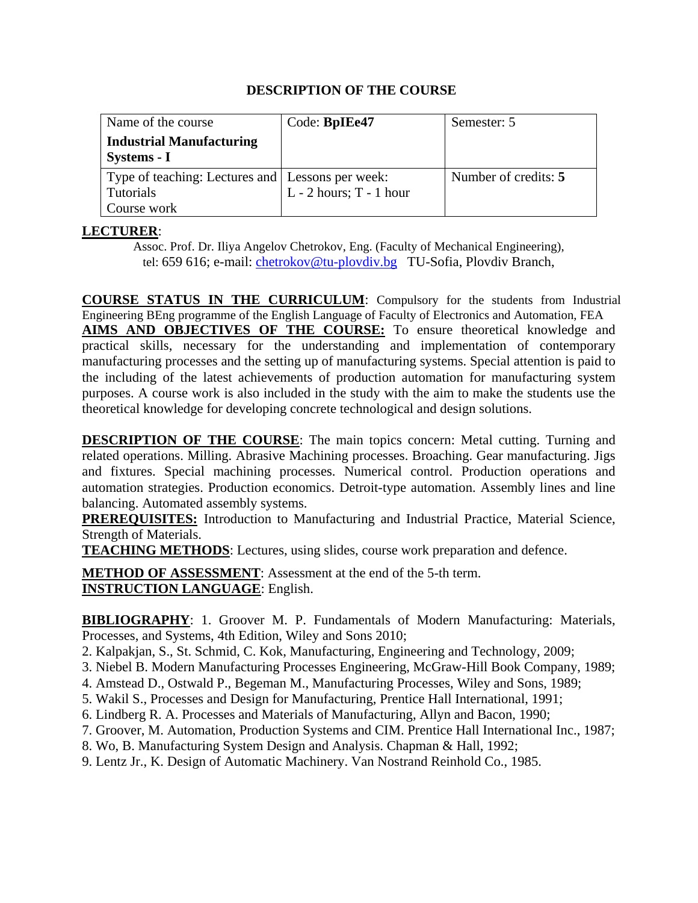| Name of the course                                 | Code: BpIEe47               | Semester: 5          |
|----------------------------------------------------|-----------------------------|----------------------|
| <b>Industrial Manufacturing</b>                    |                             |                      |
| Systems - I                                        |                             |                      |
| Type of teaching: Lectures and   Lessons per week: |                             | Number of credits: 5 |
| <b>Tutorials</b>                                   | $L - 2$ hours; $T - 1$ hour |                      |
| Course work                                        |                             |                      |

# **LECTURER**:

Assoc. Prof. Dr. Iliya Angelov Chetrokov, Eng. (Faculty of Mechanical Engineering), tel: 659 616; e-mail: chetrokov@tu-plovdiv.bg TU-Sofia, Plovdiv Branch,

**COURSE STATUS IN THE CURRICULUM**: Compulsory for the students from Industrial Engineering BEng programme of the English Language of Faculty of Electronics and Automation, FEA **AIMS AND OBJECTIVES OF THE COURSE:** To ensure theoretical knowledge and practical skills, necessary for the understanding and implementation of contemporary manufacturing processes and the setting up of manufacturing systems. Special attention is paid to the including of the latest achievements of production automation for manufacturing system purposes. A course work is also included in the study with the aim to make the students use the theoretical knowledge for developing concrete technological and design solutions.

**DESCRIPTION OF THE COURSE:** The main topics concern: Metal cutting. Turning and related operations. Milling. Abrasive Machining processes. Broaching. Gear manufacturing. Jigs and fixtures. Special machining processes. Numerical control. Production operations and automation strategies. Production economics. Detroit-type automation. Assembly lines and line balancing. Automated assembly systems.

**PREREQUISITES:** Introduction to Manufacturing and Industrial Practice, Material Science, Strength of Materials.

**TEACHING METHODS**: Lectures, using slides, course work preparation and defence.

**METHOD OF ASSESSMENT**: Assessment at the end of the 5-th term. **INSTRUCTION LANGUAGE**: English.

**BIBLIOGRAPHY**: 1. Groover M. P. Fundamentals of Modern Manufacturing: Materials, Processes, and Systems, 4th Edition, Wiley and Sons 2010;

- 2. Kalpakjan, S., St. Schmid, C. Kok, Manufacturing, Engineering and Technology, 2009;
- 3. Niebel B. Modern Manufacturing Processes Engineering, McGraw-Hill Book Company, 1989;
- 4. Amstead D., Ostwald P., Begeman M., Manufacturing Processes, Wiley and Sons, 1989;
- 5. Wakil S., Processes and Design for Manufacturing, Prentice Hall International, 1991;
- 6. Lindberg R. A. Processes and Materials of Manufacturing, Allyn and Bacon, 1990;
- 7. Groover, M. Automation, Production Systems and CIM. Prentice Hall International Inc., 1987;
- 8. Wo, B. Manufacturing System Design and Analysis. Chapman & Hall, 1992;
- 9. Lentz Jr., K. Design of Automatic Machinery. Van Nostrand Reinhold Co., 1985.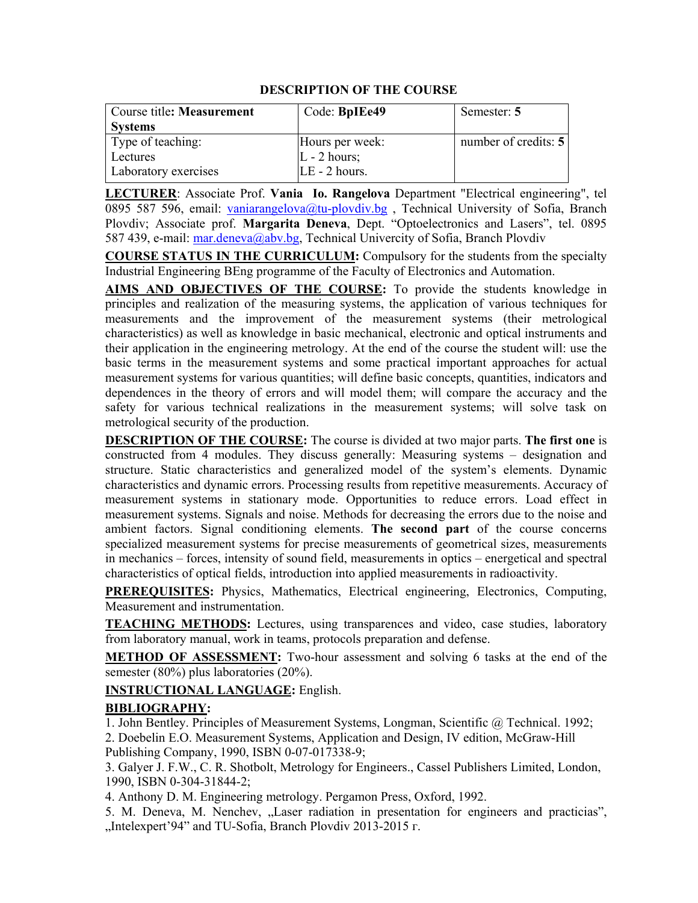| Course title: Measurement | Code: BpIEe49   | Semester: 5          |
|---------------------------|-----------------|----------------------|
| <b>Systems</b>            |                 |                      |
| Type of teaching:         | Hours per week: | number of credits: 5 |
| Lectures                  | $L - 2$ hours;  |                      |
| Laboratory exercises      | $LE - 2 hours.$ |                      |

**LECTURER**: Associate Prof. **Vania Io. Rangelova** Department "Electrical engineering", tel 0895 587 596, email: vaniarangelova@tu-plovdiv.bg, Technical University of Sofia, Branch Plovdiv; Associate prof. **Margarita Deneva**, Dept. "Optoelectronics and Lasers", tel. 0895 587 439, e-mail: mar.deneva@abv.bg, Technical Univercity of Sofia, Branch Plovdiv

**COURSE STATUS IN THE CURRICULUM:** Compulsory for the students from the specialty Industrial Engineering BEng programme of the Faculty of Electronics and Automation.

**AIMS AND OBJECTIVES OF THE COURSE:** To provide the students knowledge in principles and realization of the measuring systems, the application of various techniques for measurements and the improvement of the measurement systems (their metrological characteristics) as well as knowledge in basic mechanical, electronic and optical instruments and their application in the engineering metrology. At the end of the course the student will: use the basic terms in the measurement systems and some practical important approaches for actual measurement systems for various quantities; will define basic concepts, quantities, indicators and dependences in the theory of errors and will model them; will compare the accuracy and the safety for various technical realizations in the measurement systems; will solve task on metrological security of the production.

**DESCRIPTION OF THE COURSE:** The course is divided at two major parts. **The first one** is constructed from 4 modules. They discuss generally: Measuring systems – designation and structure. Static characteristics and generalized model of the system's elements. Dynamic characteristics and dynamic errors. Processing results from repetitive measurements. Accuracy of measurement systems in stationary mode. Opportunities to reduce errors. Load effect in measurement systems. Signals and noise. Methods for decreasing the errors due to the noise and ambient factors. Signal conditioning elements. **The second part** of the course concerns specialized measurement systems for precise measurements of geometrical sizes, measurements in mechanics – forces, intensity of sound field, measurements in optics – energetical and spectral characteristics of optical fields, introduction into applied measurements in radioactivity.

**PREREQUISITES:** Physics, Mathematics, Electrical engineering, Electronics, Computing, Measurement and instrumentation.

**TEACHING METHODS:** Lectures, using transparences and video, case studies, laboratory from laboratory manual, work in teams, protocols preparation and defense.

**METHOD OF ASSESSMENT:** Two-hour assessment and solving 6 tasks at the end of the semester (80%) plus laboratories (20%).

### **INSTRUCTIONAL LANGUAGE:** English.

### **BIBLIOGRAPHY:**

1. John Bentley. Principles of Measurement Systems, Longman, Scientific @ Technical. 1992;

2. Doebelin E.O. Measurement Systems, Application and Design, IV edition, McGraw-Hill Publishing Company, 1990, ISBN 0-07-017338-9;

3. Galyer J. F.W., C. R. Shotbolt, Metrology for Engineers., Cassel Publishers Limited, London, 1990, ISBN 0-304-31844-2;

4. Anthony D. M. Engineering metrology. Pergamon Press, Oxford, 1992.

5. M. Deneva, M. Nenchev, "Laser radiation in presentation for engineers and practicias", "Intelexpert'94" and TU-Sofia, Branch Plovdiv 2013-2015 г.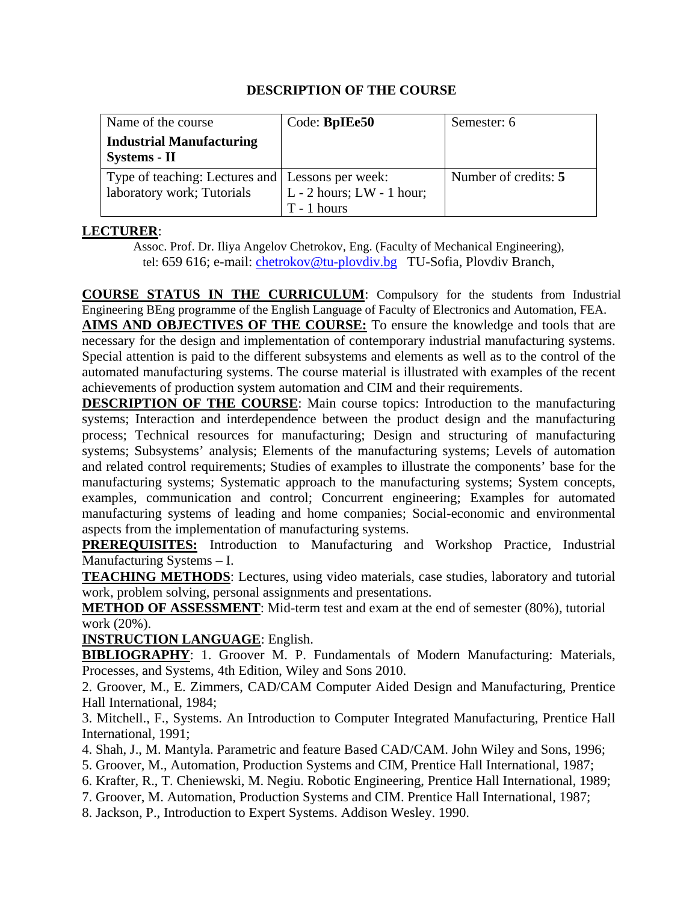| Name of the course                               | Code: <b>BpIEe50</b>        | Semester: 6          |
|--------------------------------------------------|-----------------------------|----------------------|
| <b>Industrial Manufacturing</b>                  |                             |                      |
| Systems - II                                     |                             |                      |
| Type of teaching: Lectures and Lessons per week: |                             | Number of credits: 5 |
| laboratory work; Tutorials                       | $L - 2$ hours; LW - 1 hour; |                      |
|                                                  | $T - 1$ hours               |                      |

# **LECTURER**:

Assoc. Prof. Dr. Iliya Angelov Chetrokov, Eng. (Faculty of Mechanical Engineering), tel: 659 616; e-mail: chetrokov@tu-plovdiv.bg TU-Sofia, Plovdiv Branch,

**COURSE STATUS IN THE CURRICULUM**: Compulsory for the students from Industrial Engineering BEng programme of the English Language of Faculty of Electronics and Automation, FEA.

**AIMS AND OBJECTIVES OF THE COURSE:** To ensure the knowledge and tools that are necessary for the design and implementation of contemporary industrial manufacturing systems. Special attention is paid to the different subsystems and elements as well as to the control of the automated manufacturing systems. The course material is illustrated with examples of the recent achievements of production system automation and CIM and their requirements.

**DESCRIPTION OF THE COURSE:** Main course topics: Introduction to the manufacturing systems; Interaction and interdependence between the product design and the manufacturing process; Technical resources for manufacturing; Design and structuring of manufacturing systems; Subsystems' analysis; Elements of the manufacturing systems; Levels of automation and related control requirements; Studies of examples to illustrate the components' base for the manufacturing systems; Systematic approach to the manufacturing systems; System concepts, examples, communication and control; Concurrent engineering; Examples for automated manufacturing systems of leading and home companies; Social-economic and environmental aspects from the implementation of manufacturing systems.

**PREREQUISITES:** Introduction to Manufacturing and Workshop Practice, Industrial Manufacturing Systems – I.

**TEACHING METHODS**: Lectures, using video materials, case studies, laboratory and tutorial work, problem solving, personal assignments and presentations.

**METHOD OF ASSESSMENT**: Mid-term test and exam at the end of semester (80%), tutorial work (20%).

**INSTRUCTION LANGUAGE**: English.

**BIBLIOGRAPHY**: 1. Groover M. P. Fundamentals of Modern Manufacturing: Materials, Processes, and Systems, 4th Edition, Wiley and Sons 2010.

2. Groover, M., E. Zimmers, CAD/CAM Computer Aided Design and Manufacturing, Prentice Hall International, 1984;

3. Mitchell., F., Systems. An Introduction to Computer Integrated Manufacturing, Prentice Hall International, 1991;

4. Shah, J., M. Mantyla. Parametric and feature Based CAD/CAM. John Wiley and Sons, 1996;

5. Groover, M., Automation, Production Systems and CIM, Prentice Hall International, 1987;

6. Krafter, R., T. Cheniewski, M. Negiu. Robotic Engineering, Prentice Hall International, 1989;

7. Groover, M. Automation, Production Systems and CIM. Prentice Hall International, 1987;

8. Jackson, P., Introduction to Expert Systems. Addison Wesley. 1990.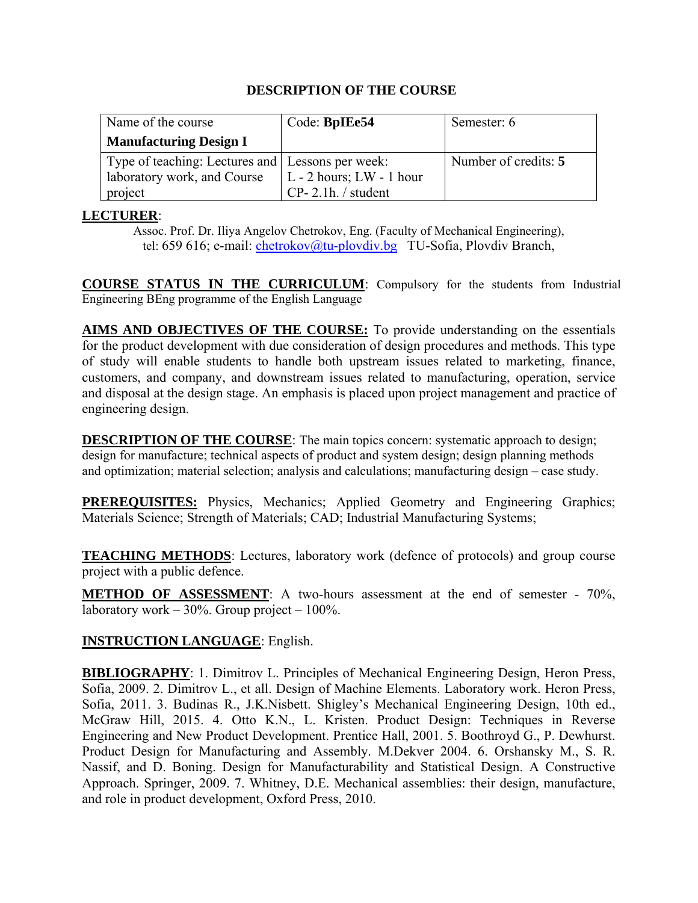| Name of the course                               | Code: BpIEe54                | Semester: 6          |
|--------------------------------------------------|------------------------------|----------------------|
| <b>Manufacturing Design I</b>                    |                              |                      |
| Type of teaching: Lectures and Lessons per week: |                              | Number of credits: 5 |
| laboratory work, and Course                      | $L - 2$ hours; $LW - 1$ hour |                      |
| project                                          | $CP-2.1h$ . / student        |                      |

## **LECTURER**:

Assoc. Prof. Dr. Iliya Angelov Chetrokov, Eng. (Faculty of Mechanical Engineering), tel: 659 616; e-mail: chetrokov@tu-plovdiv.bg TU-Sofia, Plovdiv Branch,

**COURSE STATUS IN THE CURRICULUM**: Compulsory for the students from Industrial Engineering BEng programme of the English Language

**AIMS AND OBJECTIVES OF THE COURSE:** To provide understanding on the essentials for the product development with due consideration of design procedures and methods. This type of study will enable students to handle both upstream issues related to marketing, finance, customers, and company, and downstream issues related to manufacturing, operation, service and disposal at the design stage. An emphasis is placed upon project management and practice of engineering design.

**DESCRIPTION OF THE COURSE**: The main topics concern: systematic approach to design; design for manufacturе; technical aspects of product and system design; design planning methods and optimization; material selection; analysis and calculations; manufacturing design – case study.

**PREREQUISITES:** Physics, Mechanics; Applied Geometry and Engineering Graphics; Materials Science; Strength of Materials; CAD; Industrial Manufacturing Systems;

**TEACHING METHODS**: Lectures, laboratory work (defence of protocols) and group course project with а public defence.

**METHOD OF ASSESSMENT**: A two-hours assessment at the end of semester - 70%, laboratory work –  $30\%$ . Group project –  $100\%$ .

### **INSTRUCTION LANGUAGE**: English.

**BIBLIOGRAPHY**: 1. Dimitrov L. Principles of Mechanical Engineering Design, Heron Press, Sofia, 2009. 2. Dimitrov L., et all. Design of Machine Elements. Laboratory work. Heron Press, Sofia, 2011. 3. Budinas R., J.K.Nisbett. Shigley's Mechanical Engineering Design, 10th ed., McGraw Hill, 2015. 4. Otto K.N., L. Kristen. Product Design: Techniques in Reverse Engineering and New Product Development. Prentice Hall, 2001. 5. Boothroyd G., P. Dewhurst. Product Design for Manufacturing and Assembly. M.Dekver 2004. 6. Orshansky M., S. R. Nassif, and D. Boning. Design for Manufacturability and Statistical Design. A Constructive Approach. Springer, 2009. 7. Whitney, D.E. Mechanical assemblies: their design, manufacture, and role in product development, Oxford Press, 2010.